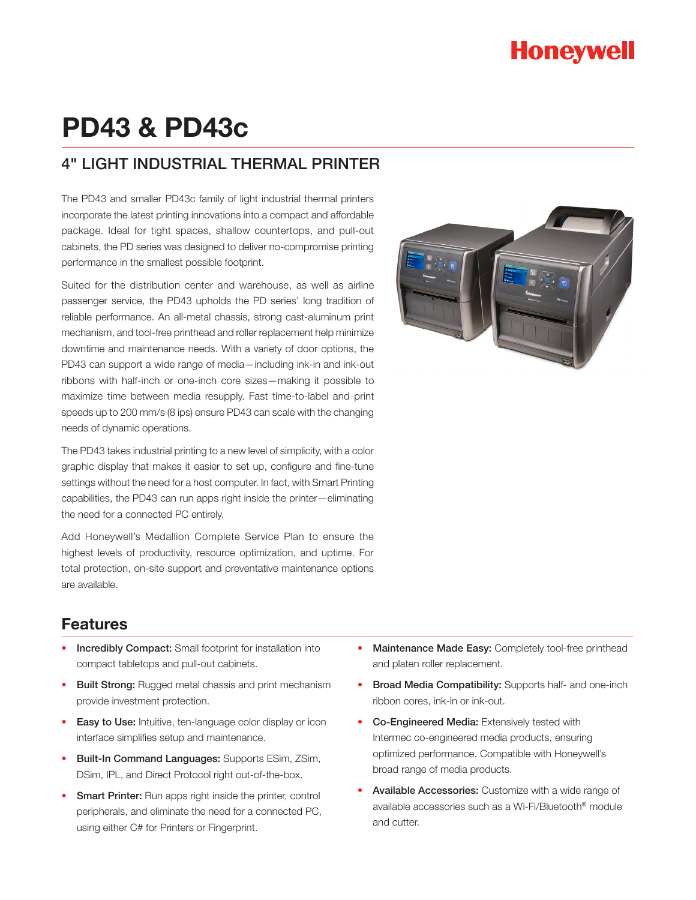# **Honeywell**

# **PD43 & PD43c**

## 4" LIGHT INDUSTRIAL THERMAL PRINTER

The PD43 and smaller PD43c family of light industrial thermal printers incorporate the latest printing innovations into a compact and affordable package. Ideal for tight spaces, shallow countertops, and pull-out cabinets, the PD series was designed to deliver no-compromise printing performance in the smallest possible footprint.

Suited for the distribution center and warehouse, as well as airline passenger service, the PD43 upholds the PD series' long tradition of reliable performance. An all-metal chassis, strong cast-aluminum print mechanism, and tool-free printhead and roller replacement help minimize downtime and maintenance needs. With a variety of door options, the PD43 can support a wide range of media—including ink-in and ink-out ribbons with half-inch or one-inch core sizes—making it possible to maximize time between media resupply. Fast time-to-label and print speeds up to 200 mm/s (8 ips) ensure PD43 can scale with the changing needs of dynamic operations.

The PD43 takes industrial printing to a new level of simplicity, with a color graphic display that makes it easier to set up, configure and fine-tune settings without the need for a host computer. In fact, with Smart Printing capabilities, the PD43 can run apps right inside the printer—eliminating the need for a connected PC entirely.

Add Honeywell's Medallion Complete Service Plan to ensure the highest levels of productivity, resource optimization, and uptime. For total protection, on-site support and preventative maintenance options are available.



### **Features**

- Incredibly Compact: Small footprint for installation into compact tabletops and pull-out cabinets.
- Built Strong: Rugged metal chassis and print mechanism provide investment protection.
- Easy to Use: Intuitive, ten-language color display or icon interface simplifies setup and maintenance.
- **Built-In Command Languages: Supports ESim, ZSim,** DSim, IPL, and Direct Protocol right out-of-the-box.
- **Smart Printer:** Run apps right inside the printer, control peripherals, and eliminate the need for a connected PC, using either C# for Printers or Fingerprint.
- Maintenance Made Easy: Completely tool-free printhead and platen roller replacement.
- Broad Media Compatibility: Supports half- and one-inch ribbon cores, ink-in or ink-out.
- Co-Engineered Media: Extensively tested with Intermec co-engineered media products, ensuring optimized performance. Compatible with Honeywell's broad range of media products.
- Available Accessories: Customize with a wide range of available accessories such as a Wi-Fi/Bluetooth® module and cutter.